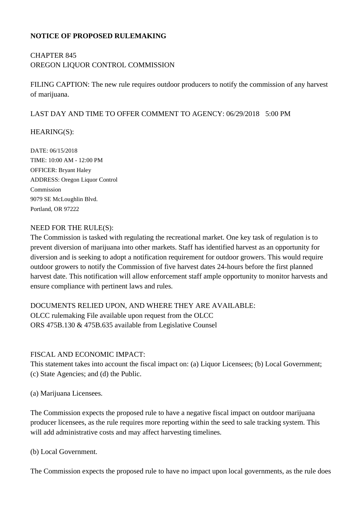#### **NOTICE OF PROPOSED RULEMAKING**

# CHAPTER 845 OREGON LIQUOR CONTROL COMMISSION

FILING CAPTION: The new rule requires outdoor producers to notify the commission of any harvest of marijuana.

#### LAST DAY AND TIME TO OFFER COMMENT TO AGENCY: 06/29/2018 5:00 PM

#### HEARING(S):

DATE: 06/15/2018 TIME: 10:00 AM - 12:00 PM OFFICER: Bryant Haley ADDRESS: Oregon Liquor Control Commission 9079 SE McLoughlin Blvd. Portland, OR 97222

#### NEED FOR THE RULE(S):

The Commission is tasked with regulating the recreational market. One key task of regulation is to prevent diversion of marijuana into other markets. Staff has identified harvest as an opportunity for diversion and is seeking to adopt a notification requirement for outdoor growers. This would require outdoor growers to notify the Commission of five harvest dates 24-hours before the first planned harvest date. This notification will allow enforcement staff ample opportunity to monitor harvests and ensure compliance with pertinent laws and rules.

## DOCUMENTS RELIED UPON, AND WHERE THEY ARE AVAILABLE: OLCC rulemaking File available upon request from the OLCC ORS 475B.130 & 475B.635 available from Legislative Counsel

### FISCAL AND ECONOMIC IMPACT:

This statement takes into account the fiscal impact on: (a) Liquor Licensees; (b) Local Government; (c) State Agencies; and (d) the Public.

(a) Marijuana Licensees.

The Commission expects the proposed rule to have a negative fiscal impact on outdoor marijuana producer licensees, as the rule requires more reporting within the seed to sale tracking system. This will add administrative costs and may affect harvesting timelines.

(b) Local Government.

The Commission expects the proposed rule to have no impact upon local governments, as the rule does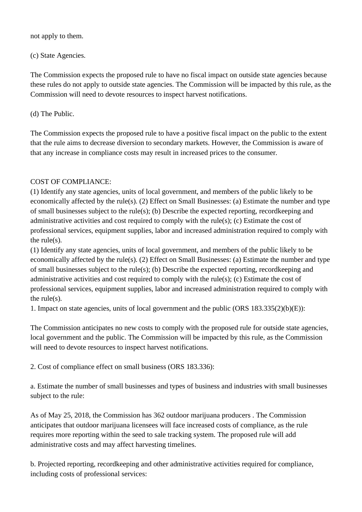not apply to them.

(c) State Agencies.

The Commission expects the proposed rule to have no fiscal impact on outside state agencies because these rules do not apply to outside state agencies. The Commission will be impacted by this rule, as the Commission will need to devote resources to inspect harvest notifications.

(d) The Public.

The Commission expects the proposed rule to have a positive fiscal impact on the public to the extent that the rule aims to decrease diversion to secondary markets. However, the Commission is aware of that any increase in compliance costs may result in increased prices to the consumer.

## COST OF COMPLIANCE:

(1) Identify any state agencies, units of local government, and members of the public likely to be economically affected by the rule(s). (2) Effect on Small Businesses: (a) Estimate the number and type of small businesses subject to the rule(s); (b) Describe the expected reporting, recordkeeping and administrative activities and cost required to comply with the rule(s); (c) Estimate the cost of professional services, equipment supplies, labor and increased administration required to comply with the rule(s).

(1) Identify any state agencies, units of local government, and members of the public likely to be economically affected by the rule(s). (2) Effect on Small Businesses: (a) Estimate the number and type of small businesses subject to the rule(s); (b) Describe the expected reporting, recordkeeping and administrative activities and cost required to comply with the rule(s); (c) Estimate the cost of professional services, equipment supplies, labor and increased administration required to comply with the rule $(s)$ .

1. Impact on state agencies, units of local government and the public (ORS 183.335(2)(b)(E)):

The Commission anticipates no new costs to comply with the proposed rule for outside state agencies, local government and the public. The Commission will be impacted by this rule, as the Commission will need to devote resources to inspect harvest notifications.

2. Cost of compliance effect on small business (ORS 183.336):

a. Estimate the number of small businesses and types of business and industries with small businesses subject to the rule:

As of May 25, 2018, the Commission has 362 outdoor marijuana producers . The Commission anticipates that outdoor marijuana licensees will face increased costs of compliance, as the rule requires more reporting within the seed to sale tracking system. The proposed rule will add administrative costs and may affect harvesting timelines.

b. Projected reporting, recordkeeping and other administrative activities required for compliance, including costs of professional services: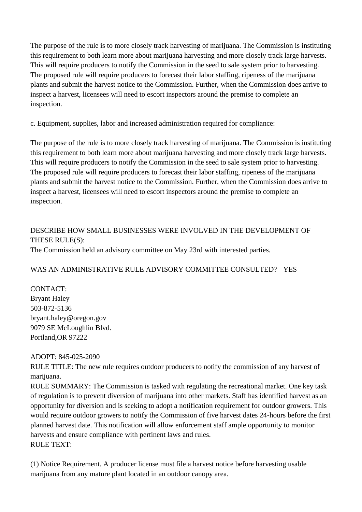The purpose of the rule is to more closely track harvesting of marijuana. The Commission is instituting this requirement to both learn more about marijuana harvesting and more closely track large harvests. This will require producers to notify the Commission in the seed to sale system prior to harvesting. The proposed rule will require producers to forecast their labor staffing, ripeness of the marijuana plants and submit the harvest notice to the Commission. Further, when the Commission does arrive to inspect a harvest, licensees will need to escort inspectors around the premise to complete an inspection.

c. Equipment, supplies, labor and increased administration required for compliance:

The purpose of the rule is to more closely track harvesting of marijuana. The Commission is instituting this requirement to both learn more about marijuana harvesting and more closely track large harvests. This will require producers to notify the Commission in the seed to sale system prior to harvesting. The proposed rule will require producers to forecast their labor staffing, ripeness of the marijuana plants and submit the harvest notice to the Commission. Further, when the Commission does arrive to inspect a harvest, licensees will need to escort inspectors around the premise to complete an inspection.

# DESCRIBE HOW SMALL BUSINESSES WERE INVOLVED IN THE DEVELOPMENT OF THESE RULE(S):

The Commission held an advisory committee on May 23rd with interested parties.

## WAS AN ADMINISTRATIVE RULE ADVISORY COMMITTEE CONSULTED? YES

CONTACT: Bryant Haley 503-872-5136 bryant.haley@oregon.gov 9079 SE McLoughlin Blvd. Portland,OR 97222

### ADOPT: 845-025-2090

RULE TITLE: The new rule requires outdoor producers to notify the commission of any harvest of marijuana.

RULE SUMMARY: The Commission is tasked with regulating the recreational market. One key task of regulation is to prevent diversion of marijuana into other markets. Staff has identified harvest as an opportunity for diversion and is seeking to adopt a notification requirement for outdoor growers. This would require outdoor growers to notify the Commission of five harvest dates 24-hours before the first planned harvest date. This notification will allow enforcement staff ample opportunity to monitor harvests and ensure compliance with pertinent laws and rules. RULE TEXT:

(1) Notice Requirement. A producer license must file a harvest notice before harvesting usable marijuana from any mature plant located in an outdoor canopy area.